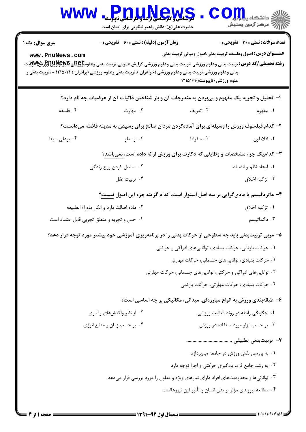| <b>WWW</b>                                                                          | Pnullews<br>حضرت علی(ع): دانش راهبر نیکویی برای ایمان است |                                                                                                                                                                                                                                                                                                                                              | ز   دانشگاه پ <b>یا با تا<mark>ر</mark></b><br>ے<br>ایک مرکز آزمون وسنجش |  |
|-------------------------------------------------------------------------------------|-----------------------------------------------------------|----------------------------------------------------------------------------------------------------------------------------------------------------------------------------------------------------------------------------------------------------------------------------------------------------------------------------------------------|--------------------------------------------------------------------------|--|
| <b>سری سوال :</b> یک ۱<br>www.PnuNews.com                                           | <b>زمان آزمون (دقیقه) : تستی : 60 ٪ تشریحی : 0</b>        | <b>عنـــوان درس:</b> اصول وفلسفه تربیت بدنی،اصول ومبانی تربیت بدنی<br><b>رشته تحصیلی/کد درس:</b> تربیت بدنی وعلوم ورزشی.،تربیت بدنی وعلوم ورزشی گرایش عمومی،تربیت بدنی وعلوم\$BRU3 و PRU3HHH.ت<br>بدنی وعلوم ورزشی،تربیت بدنی وعلوم ورزشی (خواهران )،تربیت بدنی وعلوم ورزشی (برادران ) ۲۱۵۰۲۱ – ،تربیت بدنی و<br>علوم ورزشي (ناپيوسته)١٢١٥١٦ | <b>تعداد سوالات : تستی : 30 ٪ تشریحی : 0</b>                             |  |
|                                                                                     |                                                           | ا– تحلیل و تجزیه یک مفهوم و پیبردن به مندرجات آن و باز شناختن ذاتیات آن از عرضیات چه نام دارد؟                                                                                                                                                                                                                                               |                                                                          |  |
| ۰۴ فلسفه                                                                            | ۰۳ مهارت                                                  | ۰۲ تعریف                                                                                                                                                                                                                                                                                                                                     | ۰۱ مفهوم                                                                 |  |
|                                                                                     |                                                           | ۲- کدام فیلسوف ورزش را وسیلهای برای آمادهکردن مردان صالح برای رسیدن به مدینه فاضله میدانست؟                                                                                                                                                                                                                                                  |                                                                          |  |
| ۰۴ بوعلی سینا                                                                       | ۰۳ ارسطو                                                  | ۰۲ سقراط                                                                                                                                                                                                                                                                                                                                     | ٠١. افلاطون                                                              |  |
|                                                                                     |                                                           | ۳- کدامیک جزء مشخصات و وظایفی که دکارت برای ورزش ارائه داده است، نمیباشد؟                                                                                                                                                                                                                                                                    |                                                                          |  |
|                                                                                     | ۰۲ معتدل کردن روح زندگی                                   |                                                                                                                                                                                                                                                                                                                                              | ٠١. ايجاد نظم و انضباط                                                   |  |
|                                                                                     | ۰۴ تربيت عقل                                              |                                                                                                                                                                                                                                                                                                                                              | ۰۳ تزکیه اخلاق                                                           |  |
|                                                                                     |                                                           | ۴– ماتریالیسم یا مادیگرایی بر سه اصل استوار است، کدام گزینه جزء این اصول نیست؟                                                                                                                                                                                                                                                               |                                                                          |  |
|                                                                                     | ۰۲ ماده اصالت دارد و انکار ماوراء الطبیعه                 |                                                                                                                                                                                                                                                                                                                                              | ۰۱ تز کیه اخلاق                                                          |  |
|                                                                                     | ۰۴ حس و تجربه و منطق تجربی قابل اعتماد است                |                                                                                                                                                                                                                                                                                                                                              | ۰۳ دگماتیسم                                                              |  |
|                                                                                     |                                                           | ۵– مربی تربیتبدنی باید چه سطوحی از حرکات بدنی را در برنامهریزی آموزشی خود بیشتر مورد توجه قرار دهد؟                                                                                                                                                                                                                                          |                                                                          |  |
|                                                                                     |                                                           | ۰۱ حرکات بازتابی، حرکات بنیادی، تواناییهای ادراکی و حرکتی                                                                                                                                                                                                                                                                                    |                                                                          |  |
|                                                                                     |                                                           | ۰۲ حرکات بنیادی، تواناییهای جسمانی، حرکات مهارتی                                                                                                                                                                                                                                                                                             |                                                                          |  |
|                                                                                     |                                                           | ۰۳ تواناییهای ادراکی و حرکتی، تواناییهای جسمانی، حرکات مهارتی                                                                                                                                                                                                                                                                                |                                                                          |  |
|                                                                                     |                                                           | ۰۴ حرکات بنیادی، حرکات مهارتی، حرکات بازتابی                                                                                                                                                                                                                                                                                                 |                                                                          |  |
| ۶- طبقهبندی ورزش به انواع مبارزهای، میدانی، مکانیکی بر چه اساسی است؟                |                                                           |                                                                                                                                                                                                                                                                                                                                              |                                                                          |  |
|                                                                                     | ۰۲ از نظر واکنشهای رفتاری                                 |                                                                                                                                                                                                                                                                                                                                              | ٠١ چگونگي رابطه در روند فعاليت ورزشي                                     |  |
|                                                                                     | ۰۴ بر حسب زمان و منابع انرژی                              |                                                                                                                                                                                                                                                                                                                                              | ۰۳ بر حسب ابزار مورد استفاده در ورزش                                     |  |
|                                                                                     |                                                           |                                                                                                                                                                                                                                                                                                                                              |                                                                          |  |
|                                                                                     |                                                           |                                                                                                                                                                                                                                                                                                                                              | ۰۱ به بررسی نقش ورزش در جامعه میپردازد                                   |  |
|                                                                                     |                                                           | ۰۲ به رشد جامع فرد، یادگیری حرکتی و اجرا توجه دارد                                                                                                                                                                                                                                                                                           |                                                                          |  |
| ۰۳ توانائیها و محدودیتهای افراد دارای نیازهای ویژه و معلول را مورد بررسی قرار میدهد |                                                           |                                                                                                                                                                                                                                                                                                                                              |                                                                          |  |
|                                                                                     |                                                           | ۰۴ مطالعه نیروهای مؤثر بر بدن انسان و تأثیر این نیروهااست                                                                                                                                                                                                                                                                                    |                                                                          |  |
|                                                                                     |                                                           |                                                                                                                                                                                                                                                                                                                                              |                                                                          |  |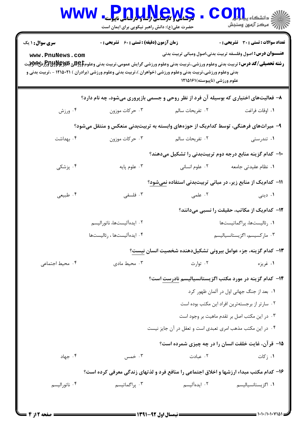|                                                                                                                                                                                                                                               | <mark>کرهانگی و کرهاسی برساو فارساس</mark> ی ناپیوسنه<br>حضرت علی(ع): دانش راهبر نیکویی برای ایمان است |                                                                                       | د دانشکاه پ <b>یا ب<sup>ا</sup> تار</b><br>ب آمرڪز آزمون وسنڊش |  |  |
|-----------------------------------------------------------------------------------------------------------------------------------------------------------------------------------------------------------------------------------------------|--------------------------------------------------------------------------------------------------------|---------------------------------------------------------------------------------------|----------------------------------------------------------------|--|--|
| <b>سری سوال : ۱ یک</b>                                                                                                                                                                                                                        | <b>زمان آزمون (دقیقه) : تستی : 60 ٪ تشریحی : 0</b>                                                     |                                                                                       | <b>تعداد سوالات : تستی : 30 ٪ تشریحی : 0</b>                   |  |  |
| www.PnuNews.com                                                                                                                                                                                                                               |                                                                                                        | <b>عنــــوان درس:</b> اصول وفلسفه تربیت بدنی،اصول ومبانی تربیت بدنی                   |                                                                |  |  |
| <b>رشته تحصیلی/کد درس:</b> تربیت بدنی وعلوم ورزشی.،تربیت بدنی وعلوم ورزشی گرایش عمومی،تربیت بدنی وعلوم\$BRU3 و PRU3H و PMWبیت<br>بدنی وعلوم ورزشی،تربیت بدنی وعلوم ورزشی (خواهران )،تربیت بدنی وعلوم ورزشی (برادران ) ۱۲۱۵۰۲۱ - ،تربیت بدنی و |                                                                                                        |                                                                                       |                                                                |  |  |
|                                                                                                                                                                                                                                               |                                                                                                        | علوم ورزشي (ناپيوسته)١٢١٥١٦                                                           |                                                                |  |  |
|                                                                                                                                                                                                                                               |                                                                                                        | ۸– فعالیتهای اختیاری که بوسیله آن فرد از نظر روحی و جسمی بازپروری میشود، چه نام دارد؟ |                                                                |  |  |
| ۰۴ ورزش                                                                                                                                                                                                                                       | ۰۳ حرکات موزون                                                                                         | ٠٢ تفريحات سالم                                                                       | ٠١ اوقات فراغت                                                 |  |  |
|                                                                                                                                                                                                                                               |                                                                                                        | ۹– میراثهای فرهنگی، توسط کدامیک از حوزههای وابسته به تربیتبدنی منعکس و منتقل میشود؟   |                                                                |  |  |
| ۰۴ بهداشت                                                                                                                                                                                                                                     | ۰۳ حرکات موزون                                                                                         | ٢. تفريحات سالم                                                                       | ۰۱ تندرستی                                                     |  |  |
|                                                                                                                                                                                                                                               |                                                                                                        | ∙ا− کدام گزینه منابع درجه دوم تربیتبدنی را تشکیل میدهند؟                              |                                                                |  |  |
| ۰۴ پزشکی                                                                                                                                                                                                                                      | ۰۳ علوم پايه                                                                                           | ۰۲ علوم انسانی                                                                        | ٠١ نظام عقيدتي جامعه                                           |  |  |
|                                                                                                                                                                                                                                               |                                                                                                        | 1۱– کدام یک از منابع زیر، در مبانی تربیتبدنی استفاده نمیشود؟                          |                                                                |  |  |
| ۰۴ طبیعی                                                                                                                                                                                                                                      | ۰۳ فلسفی                                                                                               | ۰۲ علمی                                                                               | ۰۱ دینی                                                        |  |  |
|                                                                                                                                                                                                                                               |                                                                                                        |                                                                                       | <b>۱۲</b> – کدام یک از مکاتب، حقیقت را نسبی میدانند؟           |  |  |
|                                                                                                                                                                                                                                               | ۰۲ ایدهآلیستها، ناتورالیسم                                                                             |                                                                                       | ٠١ رئاليستها، پراگماتيستها                                     |  |  |
|                                                                                                                                                                                                                                               | ۰۴ ايدهآليستها ، رئاليستها                                                                             |                                                                                       | ۰۳ ماركسيسم، اگزيستانسياليسم                                   |  |  |
|                                                                                                                                                                                                                                               |                                                                                                        | ۱۳- کدام گزینه، جزء عوامل بیرونی تشکیلدهنده شخصیت انسان نیست؟                         |                                                                |  |  |
| ۰۴ محیط اجتماعی                                                                                                                                                                                                                               | ۰۳ محیط مادی                                                                                           | ۰۲ توارث                                                                              | ۰۱ غريزه                                                       |  |  |
|                                                                                                                                                                                                                                               |                                                                                                        | ۱۴– کدام گزینه در مورد مکتب اگزیستانسیالیسم نادرست است؟                               |                                                                |  |  |
|                                                                                                                                                                                                                                               |                                                                                                        |                                                                                       | ٠١. بعد از جنگ جهاني اول در آلمان ظهور كرد                     |  |  |
|                                                                                                                                                                                                                                               |                                                                                                        |                                                                                       | ٠٢ سارتر از برجستهترين افراد اين مكتب بوده است                 |  |  |
|                                                                                                                                                                                                                                               |                                                                                                        |                                                                                       | ۰۳ در این مکتب اصل بر تقدم ماهیت بر وجود است                   |  |  |
|                                                                                                                                                                                                                                               |                                                                                                        | ۰۴ در این مکتب مذهب امری تعبدی است و تعقل در آن جایز نیست                             |                                                                |  |  |
|                                                                                                                                                                                                                                               |                                                                                                        | 1۵– قرآن، غایت خلقت انسان را در چه چیزی شمرده است؟                                    |                                                                |  |  |
| ۰۴ جهاد                                                                                                                                                                                                                                       | ۰۳ خمس                                                                                                 | ۰۲ عبادت                                                                              | ۰۱ زکات                                                        |  |  |
| ۱۶- کدام مکتب مبداء ارزشها و اخلاق اجتماعی را منافع فرد و لذتهای زندگی معرفی کرده است؟                                                                                                                                                        |                                                                                                        |                                                                                       |                                                                |  |  |
| ۰۴ ناتوراليسم                                                                                                                                                                                                                                 | ۰۳ پراگماتیسم                                                                                          | ۰۲ ایدهآلیسم                                                                          | ۰۱ اگزیستانسیالیسم                                             |  |  |
|                                                                                                                                                                                                                                               |                                                                                                        |                                                                                       |                                                                |  |  |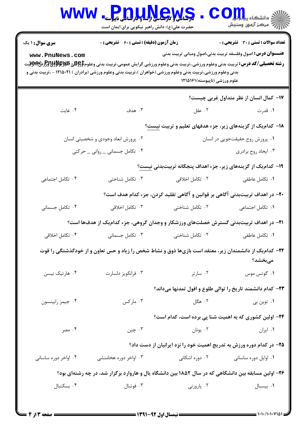|                                                                                                                                                                                                                                                                                                                                                                    | <mark>ور شانگی و مرسی ای راسا و با رشتاس</mark> ی ناپی <mark>وسته</mark><br>حضرت علی(ع): دانش راهبر نیکویی برای ایمان است |                                                                              | دانشگاه پ <b>یا با</b><br>رِ ۖ مرڪز آزمون وسنڊش |  |  |  |
|--------------------------------------------------------------------------------------------------------------------------------------------------------------------------------------------------------------------------------------------------------------------------------------------------------------------------------------------------------------------|---------------------------------------------------------------------------------------------------------------------------|------------------------------------------------------------------------------|-------------------------------------------------|--|--|--|
| <b>سری سوال : ۱ یک</b>                                                                                                                                                                                                                                                                                                                                             | زمان آزمون (دقیقه) : تستی : 60 ٪ تشریحی : 0                                                                               |                                                                              | تعداد سوالات : تستى : 30 قشريحى : 0             |  |  |  |
| <b>عنــــوان درس:</b> اصول وفلسفه تربیت بدنی،اصول ومبانی تربیت بدنی<br>www.PnuNews.com<br><b>رشته تحصیلی/کد درس:</b> تربیت بدنی وعلوم ورزشی.،تربیت بدنی وعلوم ورزشی گرایش عمومی،تربیت بدنی وعلوم\$BRU و PRHH و PHH<br>بدنی وعلوم ورزشی،تربیت بدنی وعلوم ورزشی (خواهران )،تربیت بدنی وعلوم ورزشی (برادران ) ۱۲۱۵۰۲۱ - ،تربیت بدنی و<br>علوم ورزشي (ناپيوسته)1۲۱۵۱۶۱ |                                                                                                                           |                                                                              |                                                 |  |  |  |
|                                                                                                                                                                                                                                                                                                                                                                    |                                                                                                                           |                                                                              | ۱۷– کمال انسان از نظر متداول غربی چیست؟         |  |  |  |
| ۰۴ غايت                                                                                                                                                                                                                                                                                                                                                            | ۰۳ هدف                                                                                                                    | ۰۲ عقل                                                                       | ۰۱ قدرت                                         |  |  |  |
|                                                                                                                                                                                                                                                                                                                                                                    |                                                                                                                           | ۱۸- کدام یک از گزینههای زیر، جزء هدفهای تعلیم و تربیت نیست؟                  |                                                 |  |  |  |
|                                                                                                                                                                                                                                                                                                                                                                    | ۰۲ پرورش ابعاد وجودی و شخصیتی انسان                                                                                       |                                                                              | ٠١ پرورش روح حقيقتجويي در انسان                 |  |  |  |
|                                                                                                                                                                                                                                                                                                                                                                    | ۰۴ تکامل جسمانی _ روانی _ حرکتی                                                                                           |                                                                              | ۰۳ ایجاد روح برادری                             |  |  |  |
|                                                                                                                                                                                                                                                                                                                                                                    |                                                                                                                           | ۱۹- کدام یک از گزینههای زیر، جزء اهداف پنجگانه تربیتبدنی نیست؟               |                                                 |  |  |  |
| ۰۴ تکامل اجتماعی                                                                                                                                                                                                                                                                                                                                                   | ۰۳ تکامل شناختی                                                                                                           | ۰۲ تکامل اخلاقی                                                              | ٠١ تكامل عاطفى                                  |  |  |  |
|                                                                                                                                                                                                                                                                                                                                                                    |                                                                                                                           | +۲- در اهداف تربیتبدنی آگاهی بر قوانین و آگاهی تقلید کردن، جزء کدام هدف است؟ |                                                 |  |  |  |
| ۰۴ تکامل جسمانی                                                                                                                                                                                                                                                                                                                                                    | ۰۳ تکامل اخلاقی                                                                                                           | ۰۲ تکامل شناختی                                                              | ٠١ تكامل اجتماعى                                |  |  |  |
|                                                                                                                                                                                                                                                                                                                                                                    | <b>۲۱</b> - در اهداف تربیتبدنی گسترش خصلتهای ورزشکار و وجدان گروهی، جزء کدامیک از هدفها است؟                              |                                                                              |                                                 |  |  |  |
| ۰۴ تکامل اخلاقی                                                                                                                                                                                                                                                                                                                                                    | ۰۳ تکامل جسمانی                                                                                                           | ٠٢ تكامل شناختى                                                              | ٠١ تكامل عاطفى                                  |  |  |  |
|                                                                                                                                                                                                                                                                                                                                                                    | ۲۲- کدامیک از دانشمندان زیر، معتقد است بازیها ذوق و نشاط شخص را زیاد و حس تعاون و از خودگذشتگی را قوت                     |                                                                              | مىبخشد؟                                         |  |  |  |
| ۰۴ هارتیک نیسن                                                                                                                                                                                                                                                                                                                                                     | ۰۳ فرانکويز دلسارت                                                                                                        | ۰۲ سارتر                                                                     | ۰۱ گوتس موس                                     |  |  |  |
|                                                                                                                                                                                                                                                                                                                                                                    |                                                                                                                           | ۲۳- کدام دانشمند تاریخ را توالی طلوع و افول تمدنها میداند؟                   |                                                 |  |  |  |
| ۰۴ جيمز رابينسون                                                                                                                                                                                                                                                                                                                                                   | ۰۳ مارکس                                                                                                                  | ۰۲ هگل                                                                       | ۰۱ توین بی                                      |  |  |  |
|                                                                                                                                                                                                                                                                                                                                                                    |                                                                                                                           | <b>۲۴</b> - اولین کشوری که به اهمیت شنا پی برده است، کدام است؟               |                                                 |  |  |  |
| ۰۴ مصر                                                                                                                                                                                                                                                                                                                                                             | ۰۳ چين                                                                                                                    | ۰۲ يونان                                                                     | ٠١. ايران                                       |  |  |  |
|                                                                                                                                                                                                                                                                                                                                                                    |                                                                                                                           | ۲۵- در کدام دوره ورزش به تدریج اهمیت خود را نزد ایرانیان از دست داد؟         |                                                 |  |  |  |
| ۰۴ اواخر دوره ساسانی                                                                                                                                                                                                                                                                                                                                               | ۰۳ اواخر دوره هخامنشی                                                                                                     | ۰۲ دوره اشکانی                                                               | ۰۱ اوایل دوره ساسانی                            |  |  |  |
| ۲۶- اولین مسابقه بین دانشگاهی که در سال ۱۸۵۲ بین دانشگاه یال و هاروارد برگزار شد، در چه رشتهای بود؟                                                                                                                                                                                                                                                                |                                                                                                                           |                                                                              |                                                 |  |  |  |
| ۰۴ بسكتبال                                                                                                                                                                                                                                                                                                                                                         | ۰۳ فوتبال                                                                                                                 | ۰۲ پاروزنی                                                                   | ٠١. بيسبال                                      |  |  |  |
|                                                                                                                                                                                                                                                                                                                                                                    |                                                                                                                           |                                                                              |                                                 |  |  |  |